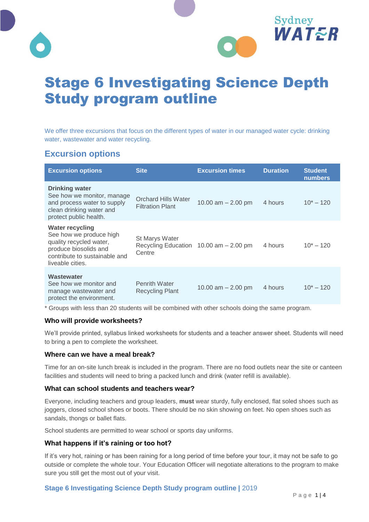



# Stage 6 Investigating Science Depth Study program outline

We offer three excursions that focus on the different types of water in our managed water cycle: drinking water, wastewater and water recycling.

# **Excursion options**

| <b>Excursion options</b>                                                                                                                                   | <b>Site</b>                                                                   | <b>Excursion times</b> | <b>Duration</b> | <b>Student</b><br><b>numbers</b> |
|------------------------------------------------------------------------------------------------------------------------------------------------------------|-------------------------------------------------------------------------------|------------------------|-----------------|----------------------------------|
| <b>Drinking water</b><br>See how we monitor, manage<br>and process water to supply<br>clean drinking water and<br>protect public health.                   | <b>Orchard Hills Water</b><br><b>Filtration Plant</b>                         | 10.00 am $- 2.00$ pm   | 4 hours         | $10^* - 120$                     |
| <b>Water recycling</b><br>See how we produce high<br>quality recycled water,<br>produce biosolids and<br>contribute to sustainable and<br>liveable cities. | <b>St Marys Water</b><br>Recycling Education $10.00$ am $- 2.00$ pm<br>Centre |                        | 4 hours         | $10^* - 120$                     |
| Wastewater<br>See how we monitor and<br>manage wastewater and<br>protect the environment.                                                                  | <b>Penrith Water</b><br><b>Recycling Plant</b>                                | 10.00 am $-$ 2.00 pm   | 4 hours         | $10^* - 120$                     |

\* Groups with less than 20 students will be combined with other schools doing the same program.

#### **Who will provide worksheets?**

We'll provide printed, syllabus linked worksheets for students and a teacher answer sheet. Students will need to bring a pen to complete the worksheet.

#### **Where can we have a meal break?**

Time for an on-site lunch break is included in the program. There are no food outlets near the site or canteen facilities and students will need to bring a packed lunch and drink (water refill is available).

#### **What can school students and teachers wear?**

Everyone, including teachers and group leaders, **must** wear sturdy, fully enclosed, flat soled shoes such as joggers, closed school shoes or boots. There should be no skin showing on feet. No open shoes such as sandals, thongs or ballet flats.

School students are permitted to wear school or sports day uniforms.

#### **What happens if it's raining or too hot?**

If it's very hot, raining or has been raining for a long period of time before your tour, it may not be safe to go outside or complete the whole tour. Your Education Officer will negotiate alterations to the program to make sure you still get the most out of your visit.

#### **Stage 6 Investigating Science Depth Study program outline |** 2019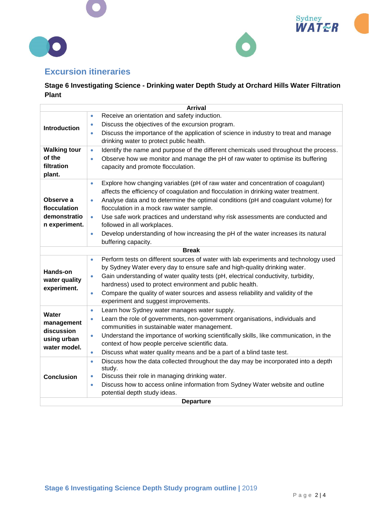





# **Excursion itineraries**

## **Stage 6 Investigating Science - Drinking water Depth Study at Orchard Hills Water Filtration Plant**

| <b>Arrival</b>      |                                                                                                     |  |  |  |
|---------------------|-----------------------------------------------------------------------------------------------------|--|--|--|
|                     | Receive an orientation and safety induction.<br>$\bullet$                                           |  |  |  |
| <b>Introduction</b> | Discuss the objectives of the excursion program.<br>$\bullet$                                       |  |  |  |
|                     | Discuss the importance of the application of science in industry to treat and manage<br>$\bullet$   |  |  |  |
|                     | drinking water to protect public health.                                                            |  |  |  |
| <b>Walking tour</b> | Identify the name and purpose of the different chemicals used throughout the process.<br>$\bullet$  |  |  |  |
| of the              | Observe how we monitor and manage the pH of raw water to optimise its buffering<br>$\bullet$        |  |  |  |
| filtration          | capacity and promote flocculation.                                                                  |  |  |  |
| plant.              |                                                                                                     |  |  |  |
|                     | Explore how changing variables (pH of raw water and concentration of coagulant)<br>$\bullet$        |  |  |  |
|                     | affects the efficiency of coagulation and flocculation in drinking water treatment.                 |  |  |  |
| Observe a           | Analyse data and to determine the optimal conditions (pH and coagulant volume) for<br>$\bullet$     |  |  |  |
| flocculation        | flocculation in a mock raw water sample.                                                            |  |  |  |
| demonstratio        | Use safe work practices and understand why risk assessments are conducted and<br>$\bullet$          |  |  |  |
| n experiment.       | followed in all workplaces.                                                                         |  |  |  |
|                     | Develop understanding of how increasing the pH of the water increases its natural<br>$\bullet$      |  |  |  |
|                     | buffering capacity.                                                                                 |  |  |  |
|                     | <b>Break</b>                                                                                        |  |  |  |
|                     | Perform tests on different sources of water with lab experiments and technology used<br>۰           |  |  |  |
| Hands-on            | by Sydney Water every day to ensure safe and high-quality drinking water.                           |  |  |  |
| water quality       | Gain understanding of water quality tests (pH, electrical conductivity, turbidity,<br>$\bullet$     |  |  |  |
| experiment.         | hardness) used to protect environment and public health.                                            |  |  |  |
|                     | Compare the quality of water sources and assess reliability and validity of the<br>$\bullet$        |  |  |  |
|                     | experiment and suggest improvements.                                                                |  |  |  |
| Water               | Learn how Sydney water manages water supply.<br>$\bullet$                                           |  |  |  |
| management          | Learn the role of governments, non-government organisations, individuals and<br>$\bullet$           |  |  |  |
| discussion          | communities in sustainable water management.                                                        |  |  |  |
| using urban         | Understand the importance of working scientifically skills, like communication, in the<br>$\bullet$ |  |  |  |
| water model.        | context of how people perceive scientific data.                                                     |  |  |  |
|                     | Discuss what water quality means and be a part of a blind taste test.<br>٠                          |  |  |  |
| <b>Conclusion</b>   | Discuss how the data collected throughout the day may be incorporated into a depth<br>$\bullet$     |  |  |  |
|                     | study.<br>Discuss their role in managing drinking water.<br>$\bullet$                               |  |  |  |
|                     | Discuss how to access online information from Sydney Water website and outline<br>$\bullet$         |  |  |  |
|                     | potential depth study ideas.                                                                        |  |  |  |
| <b>Departure</b>    |                                                                                                     |  |  |  |
|                     |                                                                                                     |  |  |  |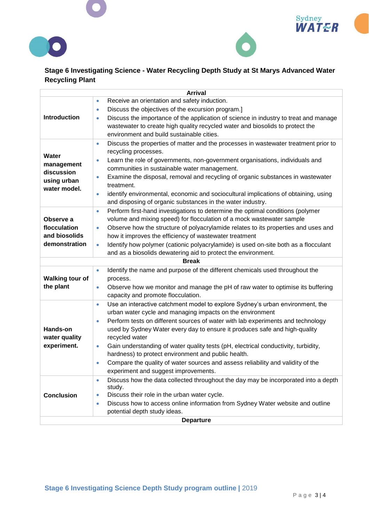





## **Stage 6 Investigating Science - Water Recycling Depth Study at St Marys Advanced Water Recycling Plant**

| <b>Arrival</b>                                                          |                                                                                                                             |  |  |  |
|-------------------------------------------------------------------------|-----------------------------------------------------------------------------------------------------------------------------|--|--|--|
|                                                                         | Receive an orientation and safety induction.<br>$\bullet$                                                                   |  |  |  |
|                                                                         | Discuss the objectives of the excursion program.]<br>$\bullet$                                                              |  |  |  |
| Introduction                                                            | Discuss the importance of the application of science in industry to treat and manage<br>$\bullet$                           |  |  |  |
|                                                                         | wastewater to create high quality recycled water and biosolids to protect the                                               |  |  |  |
|                                                                         | environment and build sustainable cities.                                                                                   |  |  |  |
| <b>Water</b><br>management<br>discussion<br>using urban<br>water model. | Discuss the properties of matter and the processes in wastewater treatment prior to<br>$\bullet$                            |  |  |  |
|                                                                         | recycling processes.                                                                                                        |  |  |  |
|                                                                         | Learn the role of governments, non-government organisations, individuals and<br>$\bullet$                                   |  |  |  |
|                                                                         | communities in sustainable water management.                                                                                |  |  |  |
|                                                                         | Examine the disposal, removal and recycling of organic substances in wastewater<br>$\bullet$                                |  |  |  |
|                                                                         | treatment.                                                                                                                  |  |  |  |
|                                                                         | identify environmental, economic and sociocultural implications of obtaining, using<br>$\bullet$                            |  |  |  |
|                                                                         | and disposing of organic substances in the water industry.                                                                  |  |  |  |
| Observe a<br>flocculation                                               | Perform first-hand investigations to determine the optimal conditions (polymer<br>$\bullet$                                 |  |  |  |
|                                                                         | volume and mixing speed) for flocculation of a mock wastewater sample                                                       |  |  |  |
|                                                                         | Observe how the structure of polyacrylamide relates to its properties and uses and<br>$\bullet$                             |  |  |  |
| and biosolids                                                           | how it improves the efficiency of wastewater treatment                                                                      |  |  |  |
| demonstration                                                           | Identify how polymer (cationic polyacrylamide) is used on-site both as a flocculant<br>$\bullet$                            |  |  |  |
|                                                                         | and as a biosolids dewatering aid to protect the environment.                                                               |  |  |  |
|                                                                         | <b>Break</b>                                                                                                                |  |  |  |
|                                                                         | Identify the name and purpose of the different chemicals used throughout the<br>$\bullet$                                   |  |  |  |
| <b>Walking tour of</b>                                                  | process.                                                                                                                    |  |  |  |
| the plant                                                               | Observe how we monitor and manage the pH of raw water to optimise its buffering<br>$\bullet$                                |  |  |  |
|                                                                         | capacity and promote flocculation.                                                                                          |  |  |  |
|                                                                         | Use an interactive catchment model to explore Sydney's urban environment, the<br>$\bullet$                                  |  |  |  |
|                                                                         | urban water cycle and managing impacts on the environment                                                                   |  |  |  |
|                                                                         | Perform tests on different sources of water with lab experiments and technology<br>$\bullet$                                |  |  |  |
| Hands-on                                                                | used by Sydney Water every day to ensure it produces safe and high-quality                                                  |  |  |  |
| water quality                                                           | recycled water                                                                                                              |  |  |  |
| experiment.                                                             | Gain understanding of water quality tests (pH, electrical conductivity, turbidity,<br>$\bullet$                             |  |  |  |
|                                                                         | hardness) to protect environment and public health.                                                                         |  |  |  |
|                                                                         | Compare the quality of water sources and assess reliability and validity of the<br>$\bullet$                                |  |  |  |
|                                                                         | experiment and suggest improvements.                                                                                        |  |  |  |
|                                                                         | Discuss how the data collected throughout the day may be incorporated into a depth<br>$\bullet$                             |  |  |  |
| <b>Conclusion</b>                                                       | study.<br>Discuss their role in the urban water cycle.                                                                      |  |  |  |
|                                                                         | $\bullet$                                                                                                                   |  |  |  |
|                                                                         | Discuss how to access online information from Sydney Water website and outline<br>$\bullet$<br>potential depth study ideas. |  |  |  |
|                                                                         |                                                                                                                             |  |  |  |
| <b>Departure</b>                                                        |                                                                                                                             |  |  |  |